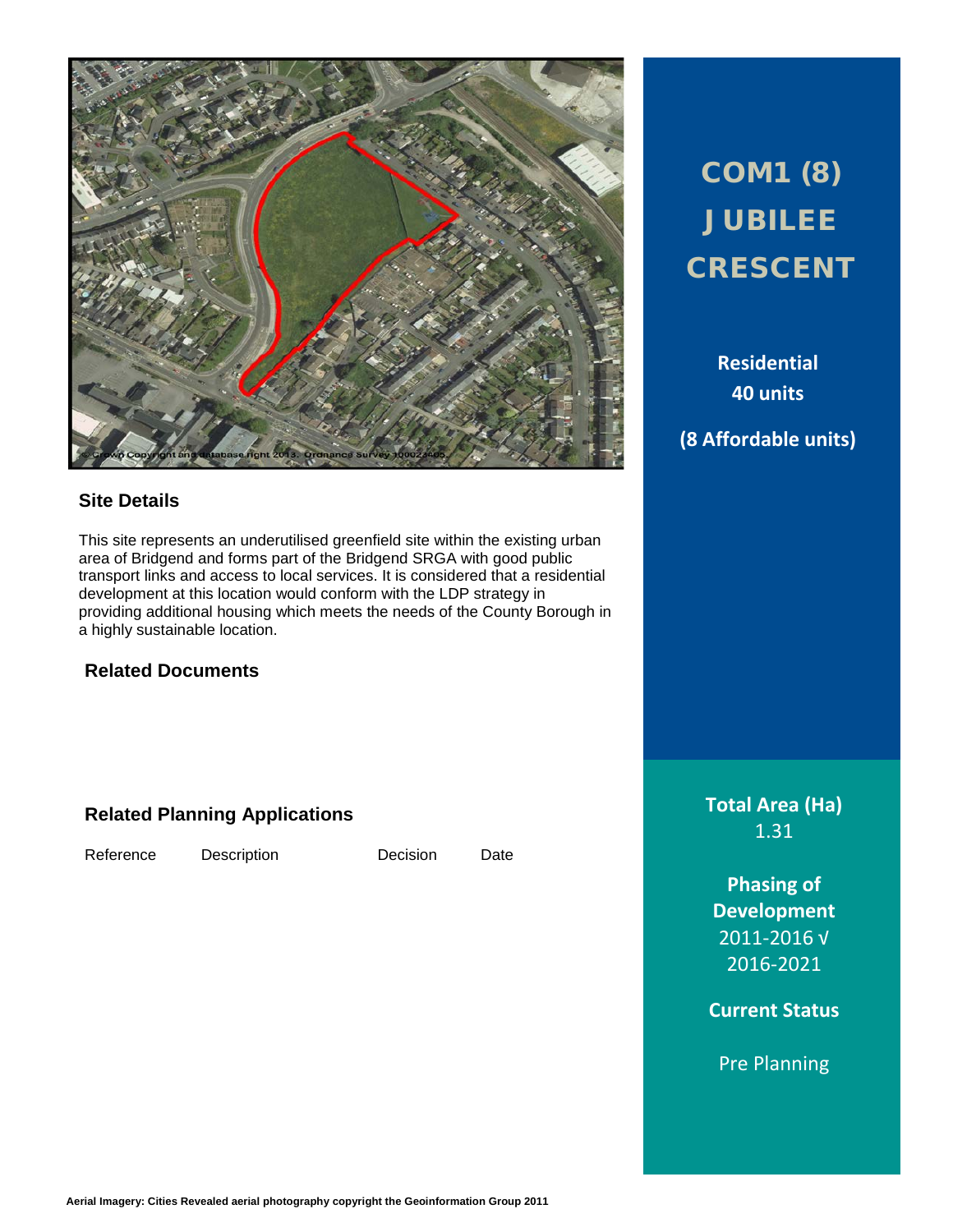

### **Site Details**

This site represents an underutilised greenfield site within the existing urban area of Bridgend and forms part of the Bridgend SRGA with good public transport links and access to local services. It is considered that a residential development at this location would conform with the LDP strategy in providing additional housing which meets the needs of the County Borough in a highly sustainable location.

### **Related Documents**

### **Related Planning Applications**

Reference Description Decision Date

# COM1 (8) JUBILEE CRESCENT

**Residential 40 units**

**(8 Affordable units)**

**Total Area (Ha)** 1.31

**Phasing of Development** 2011-2016 √ 2016-2021

**Current Status**

Pre Planning